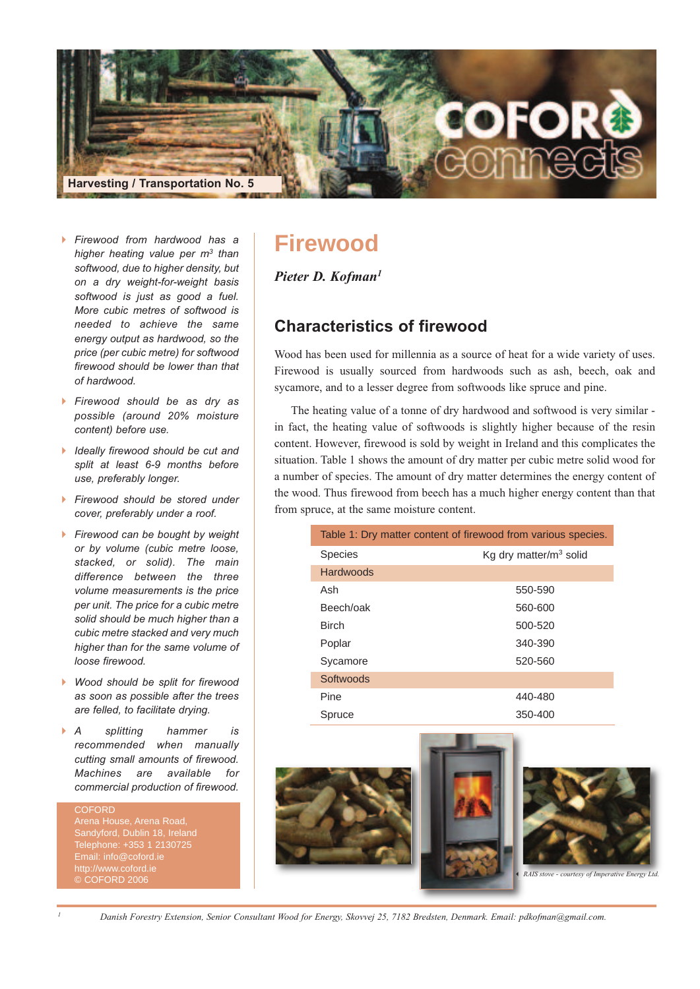

- *Firewood from hardwood has a higher heating value per m3 than softwood, due to higher density, but on a dry weight-for-weight basis softwood is just as good a fuel. More cubic metres of softwood is needed to achieve the same energy output as hardwood, so the price (per cubic metre) for softwood firewood should be lower than that of hardwood.*
- *Firewood should be as dry as possible (around 20% moisture content) before use.*
- *Ideally firewood should be cut and split at least 6-9 months before use, preferably longer.*
- *Firewood should be stored under cover, preferably under a roof.*
- *Firewood can be bought by weight or by volume (cubic metre loose, stacked, or solid). The main difference between the three volume measurements is the price per unit. The price for a cubic metre solid should be much higher than a cubic metre stacked and very much higher than for the same volume of loose firewood.*
- $\blacktriangleright$  *Wood should be split for firewood as soon as possible after the trees are felled, to facilitate drying.*
- $\mathsf{A}$  *A splitting hammer is recommended when manually cutting small amounts of firewood. Machines are available for commercial production of firewood.*

**COEORD** Arena House, Arena Road, Telephone: +353 1 2130725 Email: info@coford.ie © COFORD 2006

# **Firewood**

*Pieter D. Kofman1*

# **Characteristics of firewood**

Wood has been used for millennia as a source of heat for a wide variety of uses. Firewood is usually sourced from hardwoods such as ash, beech, oak and sycamore, and to a lesser degree from softwoods like spruce and pine.

The heating value of a tonne of dry hardwood and softwood is very similar in fact, the heating value of softwoods is slightly higher because of the resin content. However, firewood is sold by weight in Ireland and this complicates the situation. Table 1 shows the amount of dry matter per cubic metre solid wood for a number of species. The amount of dry matter determines the energy content of the wood. Thus firewood from beech has a much higher energy content than that from spruce, at the same moisture content.

| Table 1: Dry matter content of firewood from various species. |                           |
|---------------------------------------------------------------|---------------------------|
| <b>Species</b>                                                | Kg dry matter/ $m3$ solid |
| Hardwoods                                                     |                           |
| Ash                                                           | 550-590                   |
| Beech/oak                                                     | 560-600                   |
| <b>Birch</b>                                                  | 500-520                   |
| Poplar                                                        | 340-390                   |
| Sycamore                                                      | 520-560                   |
| Softwoods                                                     |                           |
| Pine                                                          | 440-480                   |
| Spruce                                                        | 350-400                   |



Danish Forestry Extension, Senior Consultant Wood for Energy, Skovvej 25, 7182 Bredsten, Denmark. Email: pdkofman@gmail.com.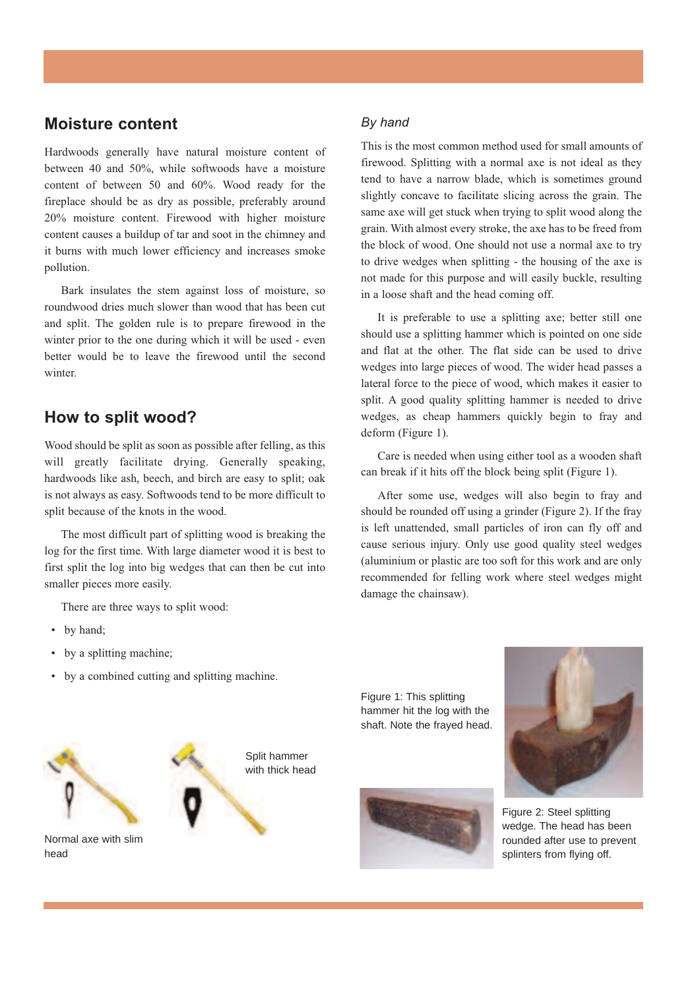# **Moisture content**

Hardwoods generally have natural moisture content of between 40 and 50%, while softwoods have a moisture content of between 50 and 60%. Wood ready for the fireplace should be as dry as possible, preferably around 20% moisture content. Firewood with higher moisture content causes a buildup of tar and soot in the chimney and it burns with much lower efficiency and increases smoke pollution.

Bark insulates the stem against loss of moisture, so roundwood dries much slower than wood that has been cut and split. The golden rule is to prepare firewood in the winter prior to the one during which it will be used - even better would be to leave the firewood until the second winter.

# **How to split wood?**

Wood should be split as soon as possible after felling, as this will greatly facilitate drying. Generally speaking, hardwoods like ash, beech, and birch are easy to split; oak is not always as easy. Softwoods tend to be more difficult to split because of the knots in the wood.

The most difficult part of splitting wood is breaking the log for the first time. With large diameter wood it is best to first split the log into big wedges that can then be cut into smaller pieces more easily.

There are three ways to split wood:

- by hand;
- by a splitting machine;
- by a combined cutting and splitting machine.



## *By hand*

This is the most common method used for small amounts of firewood. Splitting with a normal axe is not ideal as they tend to have a narrow blade, which is sometimes ground slightly concave to facilitate slicing across the grain. The same axe will get stuck when trying to split wood along the grain. With almost every stroke, the axe has to be freed from the block of wood. One should not use a normal axe to try to drive wedges when splitting - the housing of the axe is not made for this purpose and will easily buckle, resulting in a loose shaft and the head coming off.

It is preferable to use a splitting axe; better still one should use a splitting hammer which is pointed on one side and flat at the other. The flat side can be used to drive wedges into large pieces of wood. The wider head passes a lateral force to the piece of wood, which makes it easier to split. A good quality splitting hammer is needed to drive wedges, as cheap hammers quickly begin to fray and deform (Figure 1).

Care is needed when using either tool as a wooden shaft can break if it hits off the block being split (Figure 1).

After some use, wedges will also begin to fray and should be rounded off using a grinder (Figure 2). If the fray is left unattended, small particles of iron can fly off and cause serious injury. Only use good quality steel wedges (aluminium or plastic are too soft for this work and are only recommended for felling work where steel wedges might damage the chainsaw).

Figure 1: This splitting hammer hit the log with the shaft. Note the frayed head.





Figure 2: Steel splitting wedge. The head has been rounded after use to prevent splinters from flying off.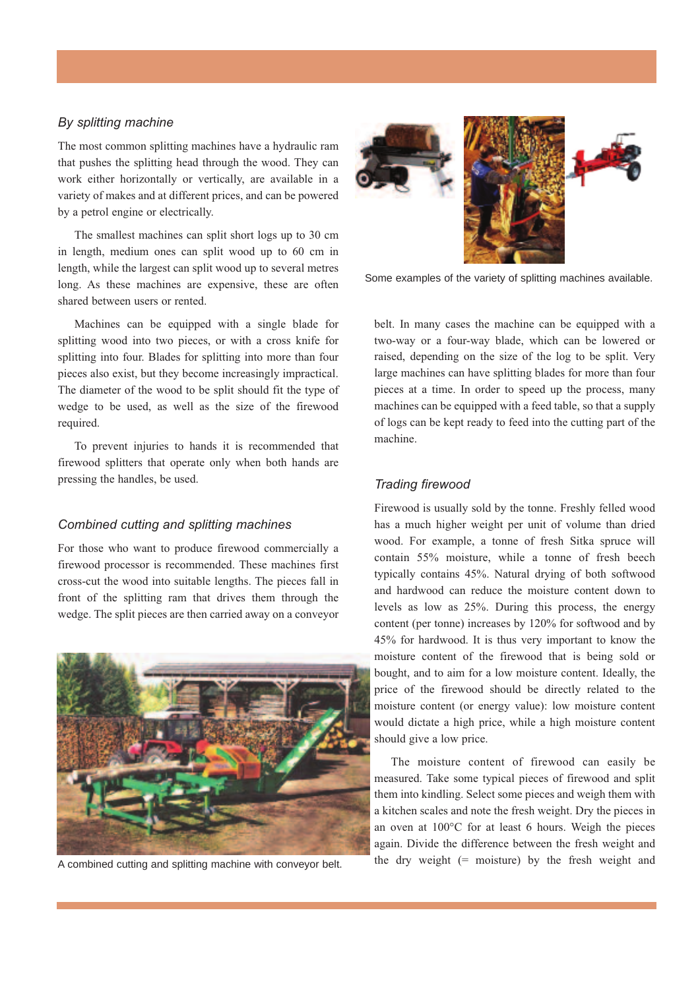## *By splitting machine*

The most common splitting machines have a hydraulic ram that pushes the splitting head through the wood. They can work either horizontally or vertically, are available in a variety of makes and at different prices, and can be powered by a petrol engine or electrically.

The smallest machines can split short logs up to 30 cm in length, medium ones can split wood up to 60 cm in length, while the largest can split wood up to several metres long. As these machines are expensive, these are often shared between users or rented.

Machines can be equipped with a single blade for splitting wood into two pieces, or with a cross knife for splitting into four. Blades for splitting into more than four pieces also exist, but they become increasingly impractical. The diameter of the wood to be split should fit the type of wedge to be used, as well as the size of the firewood required.

To prevent injuries to hands it is recommended that firewood splitters that operate only when both hands are pressing the handles, be used.

## *Combined cutting and splitting machines*

For those who want to produce firewood commercially a firewood processor is recommended. These machines first cross-cut the wood into suitable lengths. The pieces fall in front of the splitting ram that drives them through the wedge. The split pieces are then carried away on a conveyor



A combined cutting and splitting machine with conveyor belt.



Some examples of the variety of splitting machines available.

belt. In many cases the machine can be equipped with a two-way or a four-way blade, which can be lowered or raised, depending on the size of the log to be split. Very large machines can have splitting blades for more than four pieces at a time. In order to speed up the process, many machines can be equipped with a feed table, so that a supply of logs can be kept ready to feed into the cutting part of the machine.

## *Trading firewood*

Firewood is usually sold by the tonne. Freshly felled wood has a much higher weight per unit of volume than dried wood. For example, a tonne of fresh Sitka spruce will contain 55% moisture, while a tonne of fresh beech typically contains 45%. Natural drying of both softwood and hardwood can reduce the moisture content down to levels as low as 25%. During this process, the energy content (per tonne) increases by 120% for softwood and by 45% for hardwood. It is thus very important to know the moisture content of the firewood that is being sold or bought, and to aim for a low moisture content. Ideally, the price of the firewood should be directly related to the moisture content (or energy value): low moisture content would dictate a high price, while a high moisture content should give a low price.

The moisture content of firewood can easily be measured. Take some typical pieces of firewood and split them into kindling. Select some pieces and weigh them with a kitchen scales and note the fresh weight. Dry the pieces in an oven at 100°C for at least 6 hours. Weigh the pieces again. Divide the difference between the fresh weight and the dry weight  $(=$  moisture) by the fresh weight and